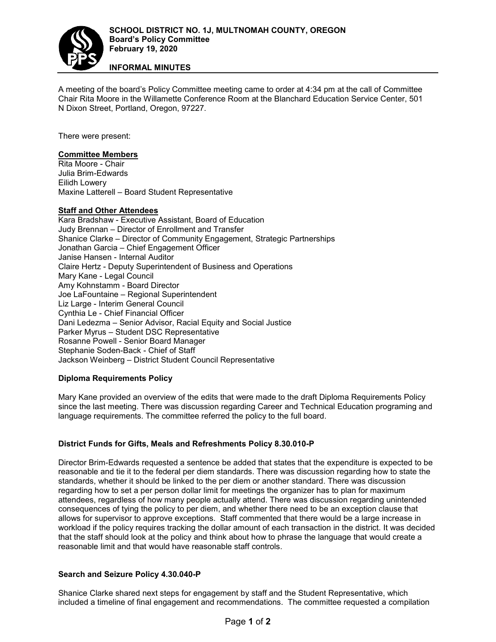

# **INFORMAL MINUTES**

A meeting of the board's Policy Committee meeting came to order at 4:34 pm at the call of Committee Chair Rita Moore in the Willamette Conference Room at the Blanchard Education Service Center, 501 N Dixon Street, Portland, Oregon, 97227.

There were present:

### **Committee Members**

Rita Moore - Chair Julia Brim-Edwards Eilidh Lowery Maxine Latterell – Board Student Representative

## **Staff and Other Attendees**

Kara Bradshaw - Executive Assistant, Board of Education Judy Brennan – Director of Enrollment and Transfer Shanice Clarke – Director of Community Engagement, Strategic Partnerships Jonathan Garcia – Chief Engagement Officer Janise Hansen - Internal Auditor Claire Hertz - Deputy Superintendent of Business and Operations Mary Kane - Legal Council Amy Kohnstamm - Board Director Joe LaFountaine – Regional Superintendent Liz Large - Interim General Council Cynthia Le - Chief Financial Officer Dani Ledezma – Senior Advisor, Racial Equity and Social Justice Parker Myrus – Student DSC Representative Rosanne Powell - Senior Board Manager Stephanie Soden-Back - Chief of Staff Jackson Weinberg – District Student Council Representative

#### **Diploma Requirements Policy**

Mary Kane provided an overview of the edits that were made to the draft Diploma Requirements Policy since the last meeting. There was discussion regarding Career and Technical Education programing and language requirements. The committee referred the policy to the full board.

# **District Funds for Gifts, Meals and Refreshments Policy 8.30.010-P**

Director Brim-Edwards requested a sentence be added that states that the expenditure is expected to be reasonable and tie it to the federal per diem standards. There was discussion regarding how to state the standards, whether it should be linked to the per diem or another standard. There was discussion regarding how to set a per person dollar limit for meetings the organizer has to plan for maximum attendees, regardless of how many people actually attend. There was discussion regarding unintended consequences of tying the policy to per diem, and whether there need to be an exception clause that allows for supervisor to approve exceptions. Staff commented that there would be a large increase in workload if the policy requires tracking the dollar amount of each transaction in the district. It was decided that the staff should look at the policy and think about how to phrase the language that would create a reasonable limit and that would have reasonable staff controls.

#### **Search and Seizure Policy 4.30.040-P**

Shanice Clarke shared next steps for engagement by staff and the Student Representative, which included a timeline of final engagement and recommendations. The committee requested a compilation